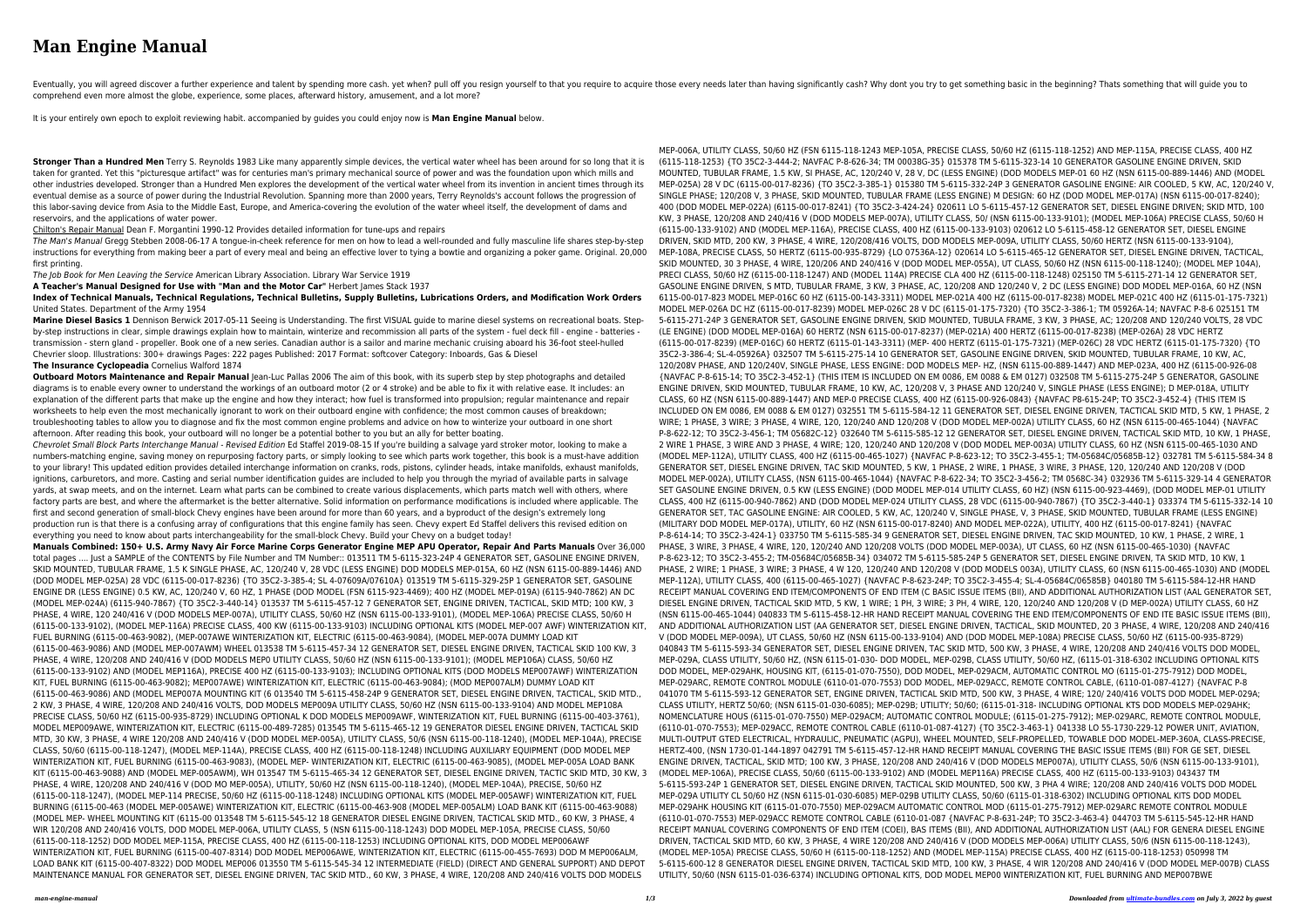## **Man Engine Manual**

Eventually, you will agreed discover a further experience and talent by spending more cash. yet when? pull off you resign yourself to that you require those every needs later than having significantly cash? Why dont you tr comprehend even more almost the globe, experience, some places, afterward history, amusement, and a lot more?

It is your entirely own epoch to exploit reviewing habit. accompanied by guides you could enjoy now is **Man Engine Manual** below.

**Stronger Than a Hundred Men** Terry S. Reynolds 1983 Like many apparently simple devices, the vertical water wheel has been around for so long that it is taken for granted. Yet this "picturesque artifact" was for centuries man's primary mechanical source of power and was the foundation upon which mills and other industries developed. Stronger than a Hundred Men explores the development of the vertical water wheel from its invention in ancient times through its eventual demise as a source of power during the Industrial Revolution. Spanning more than 2000 years, Terry Reynolds's account follows the progression of this labor-saving device from Asia to the Middle East, Europe, and America-covering the evolution of the water wheel itself, the development of dams and reservoirs, and the applications of water power.

Chilton's Repair Manual Dean F. Morgantini 1990-12 Provides detailed information for tune-ups and repairs

The Man's Manual Gregg Stebben 2008-06-17 A tongue-in-cheek reference for men on how to lead a well-rounded and fully masculine life shares step-by-step instructions for everything from making beer a part of every meal and being an effective lover to tying a bowtie and organizing a poker game. Original. 20,000 first printing.

**Outboard Motors Maintenance and Repair Manual** Jean-Luc Pallas 2006 The aim of this book, with its superb step by step photographs and detailed diagrams is to enable every owner to understand the workings of an outboard motor (2 or 4 stroke) and be able to fix it with relative ease. It includes: an explanation of the different parts that make up the engine and how they interact; how fuel is transformed into propulsion; regular maintenance and repair worksheets to help even the most mechanically ignorant to work on their outboard engine with confidence; the most common causes of breakdown; troubleshooting tables to allow you to diagnose and fix the most common engine problems and advice on how to winterize your outboard in one short afternoon. After reading this book, your outboard will no longer be a potential bother to you but an ally for better boating.

The Job Book for Men Leaving the Service American Library Association. Library War Service 1919

**A Teacher's Manual Designed for Use with "Man and the Motor Car"** Herbert James Stack 1937

**Index of Technical Manuals, Technical Regulations, Technical Bulletins, Supply Bulletins, Lubrications Orders, and Modification Work Orders** United States. Department of the Army 1954

**Marine Diesel Basics 1** Dennison Berwick 2017-05-11 Seeing is Understanding. The first VISUAL guide to marine diesel systems on recreational boats. Stepby-step instructions in clear, simple drawings explain how to maintain, winterize and recommission all parts of the system - fuel deck fill - engine - batteries transmission - stern gland - propeller. Book one of a new series. Canadian author is a sailor and marine mechanic cruising aboard his 36-foot steel-hulled Chevrier sloop. Illustrations: 300+ drawings Pages: 222 pages Published: 2017 Format: softcover Category: Inboards, Gas & Diesel **The Insurance Cyclopeadia** Cornelius Walford 1874

Chevrolet Small Block Parts Interchange Manual - Revised Edition Ed Staffel 2019-08-15 If you're building a salvage yard stroker motor, looking to make a numbers-matching engine, saving money on repurposing factory parts, or simply looking to see which parts work together, this book is a must-have addition to your library! This updated edition provides detailed interchange information on cranks, rods, pistons, cylinder heads, intake manifolds, exhaust manifolds, ignitions, carburetors, and more. Casting and serial number identification guides are included to help you through the myriad of available parts in salvage yards, at swap meets, and on the internet. Learn what parts can be combined to create various displacements, which parts match well with others, where factory parts are best, and where the aftermarket is the better alternative. Solid information on performance modifications is included where applicable. The first and second generation of small-block Chevy engines have been around for more than 60 years, and a byproduct of the design's extremely long production run is that there is a confusing array of configurations that this engine family has seen. Chevy expert Ed Staffel delivers this revised edition on everything you need to know about parts interchangeability for the small-block Chevy. Build your Chevy on a budget today!

**Manuals Combined: 150+ U.S. Army Navy Air Force Marine Corps Generator Engine MEP APU Operator, Repair And Parts Manuals** Over 36,000 total pages .... Just a SAMPLE of the CONTENTS by File Number and TM Number:: 013511 TM 5-6115-323-24P 4 GENERATOR SET, GASOLINE ENGINE DRIVEN, SKID MOUNTED, TUBULAR FRAME, 1.5 K SINGLE PHASE, AC, 120/240 V, 28 VDC (LESS ENGINE) DOD MODELS MEP-015A, 60 HZ (NSN 6115-00-889-1446) AND (DOD MODEL MEP-025A) 28 VDC (6115-00-017-8236) {TO 35C2-3-385-4; SL 4-07609A/07610A} 013519 TM 5-6115-329-25P 1 GENERATOR SET, GASOLINE ENGINE DR (LESS ENGINE) 0.5 KW, AC, 120/240 V, 60 HZ, 1 PHASE (DOD MODEL (FSN 6115-923-4469); 400 HZ (MODEL MEP-019A) (6115-940-7862) AN DC (MODEL MEP-024A) (6115-940-7867) {TO 35C2-3-440-14} 013537 TM 5-6115-457-12 7 GENERATOR SET, ENGINE DRIVEN, TACTICAL, SKID MTD; 100 KW, 3 PHASE, 4 WIRE, 120 240/416 V (DOD MODELS MEP-007A), UTILITY CLASS, 50/60 HZ (NSN 6115-00-133-9101), (MODEL MEP-106A) PRECISE CLASS, 50/60 H (6115-00-133-9102), (MODEL MEP-116A) PRECISE CLASS, 400 KW (6115-00-133-9103) INCLUDING OPTIONAL KITS (MODEL MEP-007 AWF) WINTERIZATION KIT, FUEL BURNING (6115-00-463-9082), (MEP-007AWE WINTERIZATION KIT, ELECTRIC (6115-00-463-9084), (MODEL MEP-007A DUMMY LOAD KIT (6115-00-463-9086) AND (MODEL MEP-007AWM) WHEEL 013538 TM 5-6115-457-34 12 GENERATOR SET, DIESEL ENGINE DRIVEN, TACTICAL SKID 100 KW, 3 PHASE, 4 WIRE, 120/208 AND 240/416 V (DOD MODELS MEP0 UTILITY CLASS, 50/60 HZ (NSN 6115-00-133-9101); (MODEL MEP106A) CLASS, 50/60 HZ (6115-00-133-9102) AND (MODEL MEP116A), PRECISE 400 HZ (6115-00-133-9103); INCLUDING OPTIONAL KITS (DOD MODELS MEP007AWF) WINTERIZATION KIT, FUEL BURNING (6115-00-463-9082); MEP007AWE) WINTERIZATION KIT, ELECTRIC (6115-00-463-9084); (MOD MEP007ALM) DUMMY LOAD KIT (6115-00-463-9086) AND (MODEL MEP007A MOUNTING KIT (6 013540 TM 5-6115-458-24P 9 GENERATOR SET, DIESEL ENGINE DRIVEN, TACTICAL, SKID MTD., 2 KW, 3 PHASE, 4 WIRE, 120/208 AND 240/416 VOLTS, DOD MODELS MEP009A UTILITY CLASS, 50/60 HZ (NSN 6115-00-133-9104) AND MODEL MEP108A PRECISE CLASS, 50/60 HZ (6115-00-935-8729) INCLUDING OPTIONAL K DOD MODELS MEP009AWF, WINTERIZATION KIT, FUEL BURNING (6115-00-403-3761), MODEL MEP009AWE, WINTERIZATION KIT, ELECTRIC (6115-00-489-7285) 013545 TM 5-6115-465-12 19 GENERATOR DIESEL ENGINE DRIVEN, TACTICAL SKID MTD, 30 KW, 3 PHASE, 4 WIRE 120/208 AND 240/416 V (DOD MODEL MEP-005A), UTILITY CLASS, 50/6 (NSN 6115-00-118-1240), (MODEL MEP-104A), PRECISE CLASS, 50/60 (6115-00-118-1247), (MODEL MEP-114A), PRECISE CLASS, 400 HZ (6115-00-118-1248) INCLUDING AUXILIARY EQUIPMENT (DOD MODEL MEP WINTERIZATION KIT, FUEL BURNING (6115-00-463-9083), (MODEL MEP- WINTERIZATION KIT, ELECTRIC (6115-00-463-9085), (MODEL MEP-005A LOAD BANK KIT (6115-00-463-9088) AND (MODEL MEP-005AWM), WH 013547 TM 5-6115-465-34 12 GENERATOR SET, DIESEL ENGINE DRIVEN, TACTIC SKID MTD, 30 KW, 3 PHASE, 4 WIRE, 120/208 AND 240/416 V (DOD MO MEP-005A), UTILITY, 50/60 HZ (NSN 6115-00-118-1240), (MODEL MEP-104A), PRECISE, 50/60 HZ (6115-00-118-1247), (MODEL MEP-114 PRECISE, 50/60 HZ (6115-00-118-1248) INCLUDING OPTIONAL KITS (MODEL MEP-005AWF) WINTERIZATION KIT, FUEL BURNING (6115-00-463 (MODEL MEP-005AWE) WINTERIZATION KIT, ELECTRIC (6115-00-463-908 (MODEL MEP-005ALM) LOAD BANK KIT (6115-00-463-9088) (MODEL MEP- WHEEL MOUNTING KIT (6115-00 013548 TM 5-6115-545-12 18 GENERATOR DIESEL ENGINE DRIVEN, TACTICAL SKID MTD., 60 KW, 3 PHASE, 4 WIR 120/208 AND 240/416 VOLTS, DOD MODEL MEP-006A, UTILITY CLASS, 5 (NSN 6115-00-118-1243) DOD MODEL MEP-105A, PRECISE CLASS, 50/60 (6115-00-118-1252) DOD MODEL MEP-115A, PRECISE CLASS, 400 HZ (6115-00-118-1253) INCLUDING OPTIONAL KITS, DOD MODEL MEP006AWF WINTERIZATION KIT, FUEL BURNING (6115-00-407-8314) DOD MODEL MEP006AWE, WINTERIZATION KIT, ELECTRIC (6115-00-455-7693) DOD M MEP006ALM, LOAD BANK KIT (6115-00-407-8322) DOD MODEL MEP006 013550 TM 5-6115-545-34 12 INTERMEDIATE (FIELD) (DIRECT AND GENERAL SUPPORT) AND DEPOT MAINTENANCE MANUAL FOR GENERATOR SET, DIESEL ENGINE DRIVEN, TAC SKID MTD., 60 KW, 3 PHASE, 4 WIRE, 120/208 AND 240/416 VOLTS DOD MODELS

MEP-006A, UTILITY CLASS, 50/60 HZ (FSN 6115-118-1243 MEP-105A, PRECISE CLASS, 50/60 HZ (6115-118-1252) AND MEP-115A, PRECISE CLASS, 400 HZ (6115-118-1253) {TO 35C2-3-444-2; NAVFAC P-8-626-34; TM 00038G-35} 015378 TM 5-6115-323-14 10 GENERATOR GASOLINE ENGINE DRIVEN, SKID MOUNTED, TUBULAR FRAME, 1.5 KW, SI PHASE, AC, 120/240 V, 28 V, DC (LESS ENGINE) (DOD MODELS MEP-01 60 HZ (NSN 6115-00-889-1446) AND (MODEL MEP-025A) 28 V DC (6115-00-017-8236) {TO 35C2-3-385-1} 015380 TM 5-6115-332-24P 3 GENERATOR GASOLINE ENGINE: AIR COOLED, 5 KW, AC, 120/240 V, SINGLE PHASE; 120/208 V, 3 PHASE, SKID MOUNTED, TUBULAR FRAME (LESS ENGINE) M DESIGN: 60 HZ (DOD MODEL MEP-017A) (NSN 6115-00-017-8240); 400 (DOD MODEL MEP-022A) (6115-00-017-8241) {TO 35C2-3-424-24} 020611 LO 5-6115-457-12 GENERATOR SET, DIESEL ENGINE DRIVEN; SKID MTD, 100 KW, 3 PHASE, 120/208 AND 240/416 V (DOD MODELS MEP-007A), UTILITY CLASS, 50/ (NSN 6115-00-133-9101); (MODEL MEP-106A) PRECISE CLASS, 50/60 H (6115-00-133-9102) AND (MODEL MEP-116A), PRECISE CLASS, 400 HZ (6115-00-133-9103) 020612 LO 5-6115-458-12 GENERATOR SET, DIESEL ENGINE DRIVEN, SKID MTD, 200 KW, 3 PHASE, 4 WIRE, 120/208/416 VOLTS, DOD MODELS MEP-009A, UTILITY CLASS, 50/60 HERTZ (NSN 6115-00-133-9104), MEP-108A, PRECISE CLASS, 50 HERTZ (6115-00-935-8729) {LO 07536A-12} 020614 LO 5-6115-465-12 GENERATOR SET, DIESEL ENGINE DRIVEN, TACTICAL, SKID MOUNTED, 30 3 PHASE, 4 WIRE, 120/206 AND 240/416 V (DOD MODEL MEP-055A), UT CLASS, 50/60 HZ (NSN 6115-00-118-1240); (MODEL MEP 104A), PRECI CLASS, 50/60 HZ (6115-00-118-1247) AND (MODEL 114A) PRECISE CLA 400 HZ (6115-00-118-1248) 025150 TM 5-6115-271-14 12 GENERATOR SET, GASOLINE ENGINE DRIVEN, S MTD, TUBULAR FRAME, 3 KW, 3 PHASE, AC, 120/208 AND 120/240 V, 2 DC (LESS ENGINE) DOD MODEL MEP-016A, 60 HZ (NSN 6115-00-017-823 MODEL MEP-016C 60 HZ (6115-00-143-3311) MODEL MEP-021A 400 HZ (6115-00-017-8238) MODEL MEP-021C 400 HZ (6115-01-175-7321) MODEL MEP-026A DC HZ (6115-00-017-8239) MODEL MEP-026C 28 V DC (6115-01-175-7320) {TO 35C2-3-386-1; TM 05926A-14; NAVFAC P-8-6 025151 TM 5-6115-271-24P 3 GENERATOR SET, GASOLINE ENGINE DRIVEN, SKID MOUNTED, TUBULA FRAME, 3 KW, 3 PHASE, AC; 120/208 AND 120/240 VOLTS, 28 VDC (LE ENGINE) (DOD MODEL MEP-016A) 60 HERTZ (NSN 6115-00-017-8237) (MEP-021A) 400 HERTZ (6115-00-017-8238) (MEP-026A) 28 VDC HERTZ (6115-00-017-8239) (MEP-016C) 60 HERTZ (6115-01-143-3311) (MEP- 400 HERTZ (6115-01-175-7321) (MEP-026C) 28 VDC HERTZ (6115-01-175-7320) {TO 35C2-3-386-4; SL-4-05926A} 032507 TM 5-6115-275-14 10 GENERATOR SET, GASOLINE ENGINE DRIVEN, SKID MOUNTED, TUBULAR FRAME, 10 KW, AC, 120/208V PHASE, AND 120/240V, SINGLE PHASE, LESS ENGINE: DOD MODELS MEP- HZ, (NSN 6115-00-889-1447) AND MEP-023A, 400 HZ (6115-00-926-08 {NAVFAC P-8-615-14; TO 35C2-3-452-1} (THIS ITEM IS INCLUDED ON EM 0086, EM 0088 & EM 0127) 032508 TM 5-6115-275-24P 5 GENERATOR, GASOLINE ENGINE DRIVEN, SKID MOUNTED, TUBULAR FRAME, 10 KW, AC, 120/208 V, 3 PHASE AND 120/240 V, SINGLE PHASE (LESS ENGINE); D MEP-018A, UTILITY CLASS, 60 HZ (NSN 6115-00-889-1447) AND MEP-0 PRECISE CLASS, 400 HZ (6115-00-926-0843) {NAVFAC P8-615-24P; TO 35C2-3-452-4} (THIS ITEM IS INCLUDED ON EM 0086, EM 0088 & EM 0127) 032551 TM 5-6115-584-12 11 GENERATOR SET, DIESEL ENGINE DRIVEN, TACTICAL SKID MTD, 5 KW, 1 PHASE, 2 WIRE; 1 PHASE, 3 WIRE; 3 PHASE, 4 WIRE, 120, 120/240 AND 120/208 V (DOD MODEL MEP-002A) UTILITY CLASS, 60 HZ (NSN 6115-00-465-1044) {NAVFAC P-8-622-12; TO 35C2-3-456-1; TM 05682C-12} 032640 TM 5-6115-585-12 12 GENERATOR SET, DIESEL ENGINE DRIVEN, TACTICAL SKID MTD, 10 KW, 1 PHASE, 2 WIRE 1 PHASE, 3 WIRE AND 3 PHASE, 4 WIRE; 120, 120/240 AND 120/208 V (DOD MODEL MEP-003A) UTILITY CLASS, 60 HZ (NSN 6115-00-465-1030 AND (MODEL MEP-112A), UTILITY CLASS, 400 HZ (6115-00-465-1027) {NAVFAC P-8-623-12; TO 35C2-3-455-1; TM-05684C/05685B-12} 032781 TM 5-6115-584-34 8 GENERATOR SET, DIESEL ENGINE DRIVEN, TAC SKID MOUNTED, 5 KW, 1 PHASE, 2 WIRE, 1 PHASE, 3 WIRE, 3 PHASE, 120, 120/240 AND 120/208 V (DOD MODEL MEP-002A), UTILITY CLASS, (NSN 6115-00-465-1044) {NAVFAC P-8-622-34; TO 35C2-3-456-2; TM 0568C-34} 032936 TM 5-6115-329-14 4 GENERATOR SET GASOLINE ENGINE DRIVEN, 0.5 KW (LESS ENGINE) (DOD MODEL MEP-014 UTILITY CLASS, 60 HZ) (NSN 6115-00-923-4469), (DOD MODEL MEP-01 UTILITY CLASS, 400 HZ (6115-00-940-7862) AND (DOD MODEL MEP-024 UTILITY CLASS, 28 VDC (6115-00-940-7867) {TO 35C2-3-440-1} 033374 TM 5-6115-332-14 10 GENERATOR SET, TAC GASOLINE ENGINE: AIR COOLED, 5 KW, AC, 120/240 V, SINGLE PHASE, V, 3 PHASE, SKID MOUNTED, TUBULAR FRAME (LESS ENGINE) (MILITARY DOD MODEL MEP-017A), UTILITY, 60 HZ (NSN 6115-00-017-8240) AND MODEL MEP-022A), UTILITY, 400 HZ (6115-00-017-8241) {NAVFAC P-8-614-14; TO 35C2-3-424-1} 033750 TM 5-6115-585-34 9 GENERATOR SET, DIESEL ENGINE DRIVEN, TAC SKID MOUNTED, 10 KW, 1 PHASE, 2 WIRE, 1 PHASE, 3 WIRE, 3 PHASE, 4 WIRE, 120, 120/240 AND 120/208 VOLTS (DOD MODEL MEP-003A), UT CLASS, 60 HZ (NSN 6115-00-465-1030) {NAVFAC P-8-623-12; TO 35C2-3-455-2; TM-05684C/05685B-34} 034072 TM 5-6115-585-24P 5 GENERATOR SET, DIESEL ENGINE DRIVEN, TA SKID MTD, 10 KW, 1 PHASE, 2 WIRE; 1 PHASE, 3 WIRE; 3 PHASE, 4 W 120, 120/240 AND 120/208 V (DOD MODELS 003A), UTILITY CLASS, 60 (NSN 6115-00-465-1030) AND (MODEL MEP-112A), UTILITY CLASS, 400 (6115-00-465-1027) {NAVFAC P-8-623-24P; TO 35C2-3-455-4; SL-4-05684C/06585B} 040180 TM 5-6115-584-12-HR HAND RECEIPT MANUAL COVERING END ITEM/COMPONENTS OF END ITEM (C BASIC ISSUE ITEMS (BII), AND ADDITIONAL AUTHORIZATION LIST (AAL GENERATOR SET, DIESEL ENGINE DRIVEN, TACTICAL SKID MTD, 5 KW, 1 WIRE; 1 PH, 3 WIRE; 3 PH, 4 WIRE, 120, 120/240 AND 120/208 V (D MEP-002A) UTILITY CLASS, 60 HZ (NSN 6115-00-465-1044) 040833 TM 5-6115-458-12-HR HAND RECEIPT MANUAL COVERING THE END ITEM/COMPONENTS OF END ITE BASIC ISSUE ITEMS (BII), AND ADDITIONAL AUTHORIZATION LIST (AA GENERATOR SET, DIESEL ENGINE DRIVEN, TACTICAL, SKID MOUNTED, 20 3 PHASE, 4 WIRE, 120/208 AND 240/416 V (DOD MODEL MEP-009A), UT CLASS, 50/60 HZ (NSN 6115-00-133-9104) AND (DOD MODEL MEP-108A) PRECISE CLASS, 50/60 HZ (6115-00-935-8729) 040843 TM 5-6115-593-34 GENERATOR SET, DIESEL ENGINE DRIVEN, TAC SKID MTD, 500 KW, 3 PHASE, 4 WIRE, 120/208 AND 240/416 VOLTS DOD MODEL, MEP-029A, CLASS UTILITY, 50/60 HZ, (NSN 6115-01-030- DOD MODEL, MEP-029B, CLASS UTILITY, 50/60 HZ, (6115-01-318-6302 INCLUDING OPTIONAL KITS DOD MODEL, MEP-029AHK, HOUSING KIT, (6115-01-070-7550), DOD MODEL, MEP-029ACM, AUTOMATIC CONTROL MO (6115-01-275-7912) DOD MODEL, MEP-029ARC, REMOTE CONTROL MODULE (6110-01-070-7553) DOD MODEL, MEP-029ACC, REMOTE CONTROL CABLE, (6110-01-087-4127) {NAVFAC P-8 041070 TM 5-6115-593-12 GENERATOR SET, ENGINE DRIVEN, TACTICAL SKID MTD, 500 KW, 3 PHASE, 4 WIRE; 120/ 240/416 VOLTS DOD MODEL MEP-029A; CLASS UTILITY, HERTZ 50/60; (NSN 6115-01-030-6085); MEP-029B; UTILITY; 50/60; (6115-01-318- INCLUDING OPTIONAL KTS DOD MODELS MEP-029AHK; NOMENCLATURE HOUS (6115-01-070-7550) MEP-029ACM; AUTOMATIC CONTROL MODULE; (6115-01-275-7912); MEP-029ARC, REMOTE CONTROL MODULE, (6110-01-070-7553); MEP-029ACC, REMOTE CONTROL CABLE (6110-01-087-4127) {TO 35C2-3-463-1} 041338 LO 55-1730-229-12 POWER UNIT, AVIATION, MULTI-OUTPUT GTED ELECTRICAL, HYDRAULIC, PNEUMATIC (AGPU), WHEEL MOUNTED, SELF-PROPELLED, TOWABLE DOD MODEL-MEP-360A, CLASS-PRECISE, HERTZ-400, (NSN 1730-01-144-1897 042791 TM 5-6115-457-12-HR HAND RECEIPT MANUAL COVERING THE BASIC ISSUE ITEMS (BII) FOR GE SET, DIESEL ENGINE DRIVEN, TACTICAL, SKID MTD; 100 KW, 3 PHASE, 120/208 AND 240/416 V (DOD MODELS MEP007A), UTILITY CLASS, 50/6 (NSN 6115-00-133-9101), (MODEL MEP-106A), PRECISE CLASS, 50/60 (6115-00-133-9102) AND (MODEL MEP116A) PRECISE CLASS, 400 HZ (6115-00-133-9103) 043437 TM 5-6115-593-24P 1 GENERATOR SET, DIESEL ENGINE DRIVEN, TACTICAL SKID MOUNTED, 500 KW, 3 PHA 4 WIRE; 120/208 AND 240/416 VOLTS DOD MODEL MEP-029A UTILITY CL 50/60 HZ (NSN 6115-01-030-6085) MEP-029B UTILITY CLASS, 50/60 (6115-01-318-6302) INCLUDING OPTIONAL KITS DOD MODEL MEP-029AHK HOUSING KIT (6115-01-070-7550) MEP-029ACM AUTOMATIC CONTROL MOD (6115-01-275-7912) MEP-029ARC REMOTE CONTROL MODULE (6110-01-070-7553) MEP-029ACC REMOTE CONTROL CABLE (6110-01-087 {NAVFAC P-8-631-24P; TO 35C2-3-463-4} 044703 TM 5-6115-545-12-HR HAND RECEIPT MANUAL COVERING COMPONENTS OF END ITEM (COEI), BAS ITEMS (BII), AND ADDITIONAL AUTHORIZATION LIST (AAL) FOR GENERA DIESEL ENGINE DRIVEN, TACTICAL SKID MTD, 60 KW, 3 PHASE, 4 WIRE 120/208 AND 240/416 V (DOD MODELS MEP-006A) UTILITY CLASS, 50/6 (NSN 6115-00-118-1243), (MODEL MEP-105A) PRECISE CLASS, 50/60 H (6115-00-118-1252) AND (MODEL MEP-115A) PRECISE CLASS, 400 HZ (6115-00-118-1253) 050998 TM 5-6115-600-12 8 GENERATOR DIESEL ENGINE DRIVEN, TACTICAL SKID MTD, 100 KW, 3 PHASE, 4 WIR 120/208 AND 240/416 V (DOD MODEL MEP-007B) CLASS UTILITY, 50/60 (NSN 6115-01-036-6374) INCLUDING OPTIONAL KITS, DOD MODEL MEP00 WINTERIZATION KIT, FUEL BURNING AND MEP007BWE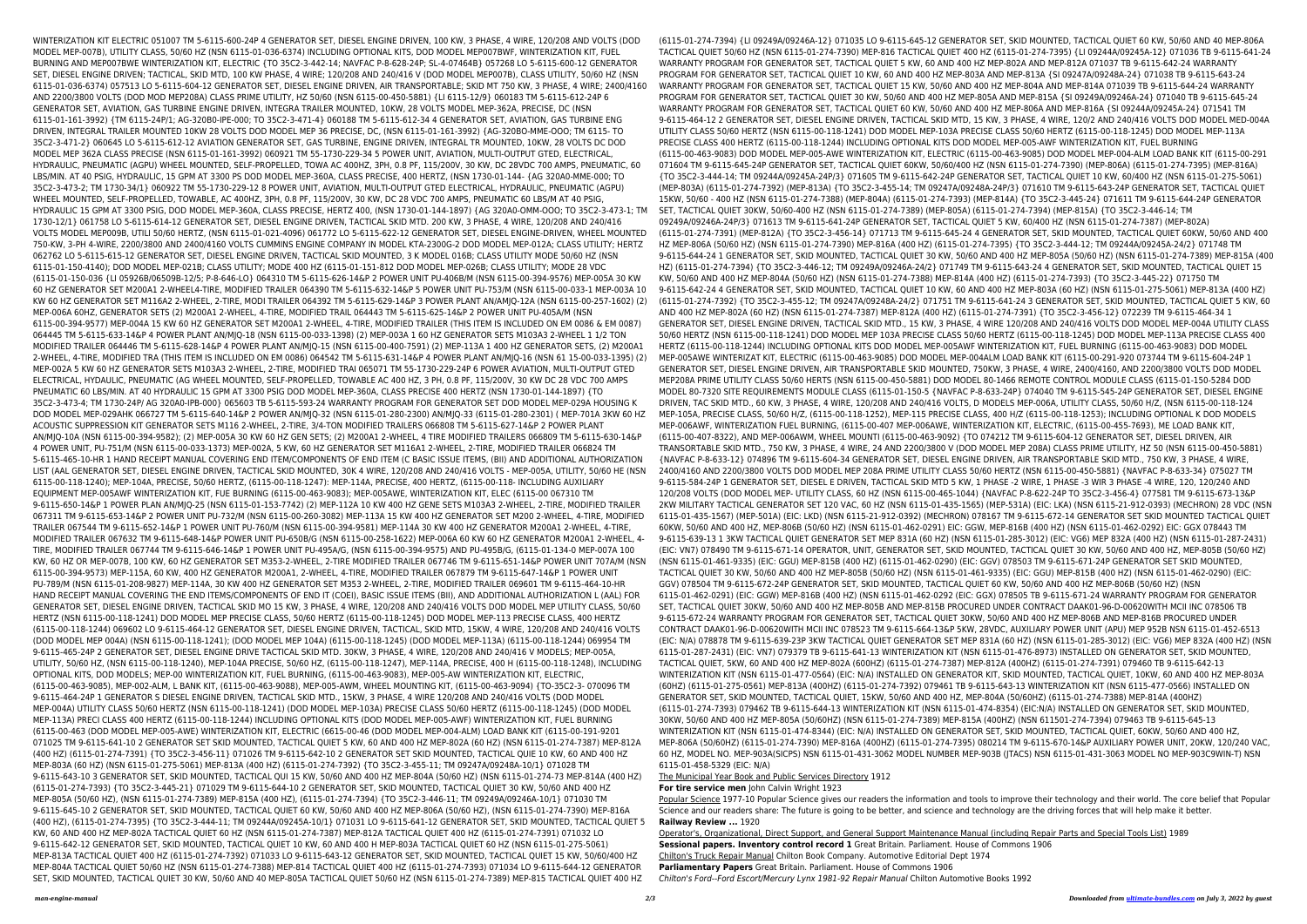WINTERIZATION KIT ELECTRIC 051007 TM 5-6115-600-24P 4 GENERATOR SET, DIESEL ENGINE DRIVEN, 100 KW, 3 PHASE, 4 WIRE, 120/208 AND VOLTS (DOD MODEL MEP-007B), UTILITY CLASS, 50/60 HZ (NSN 6115-01-036-6374) INCLUDING OPTIONAL KITS, DOD MODEL MEP007BWF, WINTERIZATION KIT, FUEL BURNING AND MEP007BWE WINTERIZATION KIT, ELECTRIC {TO 35C2-3-442-14; NAVFAC P-8-628-24P; SL-4-07464B} 057268 LO 5-6115-600-12 GENERATOR SET, DIESEL ENGINE DRIVEN; TACTICAL, SKID MTD, 100 KW PHASE, 4 WIRE; 120/208 AND 240/416 V (DOD MODEL MEP007B), CLASS UTILITY, 50/60 HZ (NSN 6115-01-036-6374) 057513 LO 5-6115-604-12 GENERATOR SET, DIESEL ENGINE DRIVEN, AIR TRANSPORTABLE; SKID MT 750 KW, 3 PHASE, 4 WIRE; 2400/4160 AND 2200/3800 VOLTS (DOD MOD MEP208A) CLASS PRIME UTILITY, HZ 50/60 (NSN 6115-00-450-5881) {LI 6115-12/9} 060183 TM 5-6115-612-24P 6 GENERATOR SET, AVIATION, GAS TURBINE ENGINE DRIVEN, INTEGRA TRAILER MOUNTED, 10KW, 28 VOLTS MODEL MEP-362A, PRECISE, DC (NSN 6115-01-161-3992) {TM 6115-24P/1; AG-320B0-IPE-000; TO 35C2-3-471-4} 060188 TM 5-6115-612-34 4 GENERATOR SET, AVIATION, GAS TURBINE ENG DRIVEN, INTEGRAL TRAILER MOUNTED 10KW 28 VOLTS DOD MODEL MEP 36 PRECISE, DC, (NSN 6115-01-161-3992) {AG-320BO-MME-OOO; TM 6115- TO 35C2-3-471-2} 060645 LO 5-6115-612-12 AVIATION GENERATOR SET, GAS TURBINE, ENGINE DRIVEN, INTEGRAL TR MOUNTED, 10KW, 28 VOLTS DC DOD MODEL MEP 362A CLASS PRECISE (NSN 6115-01-161-3992) 060921 TM 55-1730-229-34 5 POWER UNIT, AVIATION, MULTI-OUTPUT GTED, ELECTRICAL, HYDRAULIC, PNEUMATIC (AGPU) WHEEL MOUNTED, SELF-PROPELLED, TOWA AC 400HZ, 3PH, 0.8 PF, 115/200V, 30 KW, DC 28VDC 700 AMPS, PNEUMATIC, 60 LBS/MIN. AT 40 PSIG, HYDRAULIC, 15 GPM AT 3300 PS DOD MODEL MEP-360A, CLASS PRECISE, 400 HERTZ, (NSN 1730-01-144- {AG 320A0-MME-000; TO 35C2-3-473-2; TM 1730-34/1} 060922 TM 55-1730-229-12 8 POWER UNIT, AVIATION, MULTI-OUTPUT GTED ELECTRICAL, HYDRAULIC, PNEUMATIC (AGPU) WHEEL MOUNTED, SELF-PROPELLED, TOWABLE, AC 400HZ, 3PH, 0.8 PF, 115/200V, 30 KW, DC 28 VDC 700 AMPS, PNEUMATIC 60 LBS/M AT 40 PSIG, HYDRAULIC 15 GPM AT 3300 PSIG, DOD MODEL MEP-360A, CLASS PRECISE, HERTZ 400, (NSN 1730-01-144-1897) {AG 320A0-OMM-OOO; TO 35C2-3-473-1; TM 1730-12/1} 061758 LO 5-6115-614-12 GENERATOR SET, DIESEL ENGINE DRIVEN, TACTICAL SKID MTD. 200 KW, 3 PHASE, 4 WIRE, 120/208 AND 240/416 VOLTS MODEL MEP009B, UTILI 50/60 HERTZ, (NSN 6115-01-021-4096) 061772 LO 5-6115-622-12 GENERATOR SET, DIESEL ENGINE-DRIVEN, WHEEL MOUNTED 750-KW, 3-PH 4-WIRE, 2200/3800 AND 2400/4160 VOLTS CUMMINS ENGINE COMPANY IN MODEL KTA-2300G-2 DOD MODEL MEP-012A; CLASS UTILITY; HERTZ 062762 LO 5-6115-615-12 GENERATOR SET, DIESEL ENGINE DRIVEN, TACTICAL SKID MOUNTED, 3 K MODEL 016B; CLASS UTILITY MODE 50/60 HZ (NSN 6115-01-150-4140); DOD MODEL MEP-021B; CLASS UTILITY; MODE 400 HZ (6115-01-151-812 DOD MODEL MEP-026B; CLASS UTILITY; MODE 28 VDC (6115-01-150-036 {LI 05926B/06509B-12/5; P-8-646-LO} 064310 TM 5-6115-626-14&P 2 POWER UNIT PU-406B/M (NSN 6115-00-394-9576) MEP-005A 30 KW 60 HZ GENERATOR SET M200A1 2-WHEEL4-TIRE, MODIFIED TRAILER 064390 TM 5-6115-632-14&P 5 POWER UNIT PU-753/M (NSN 6115-00-033-1 MEP-003A 10 KW 60 HZ GENERATOR SET M116A2 2-WHEEL, 2-TIRE, MODI TRAILER 064392 TM 5-6115-629-14&P 3 POWER PLANT AN/AMJQ-12A (NSN 6115-00-257-1602) (2) MEP-006A 60HZ, GENERATOR SETS (2) M200A1 2-WHEEL, 4-TIRE, MODIFIED TRAIL 064443 TM 5-6115-625-14&P 2 POWER UNIT PU-405A/M (NSN 6115-00-394-9577) MEP-004A 15 KW 60 HZ GENERATOR SET M200A1 2-WHEEL, 4-TIRE, MODIFIED TRAILER (THIS ITEM IS INCLUDED ON EM 0086 & EM 0087) 064445 TM 5-6115-633-14&P 4 POWER PLANT AN/MJQ-18 (NSN 6115-00-033-1398) (2) MEP-003A 1 60 HZ GENERATOR SETS M103A3 2-WHEEL 1 1/2 TON MODIFIED TRAILER 064446 TM 5-6115-628-14&P 4 POWER PLANT AN/MJQ-15 (NSN 6115-00-400-7591) (2) MEP-113A 1 400 HZ GENERATOR SETS, (2) M200A1 2-WHEEL, 4-TIRE, MODIFIED TRA (THIS ITEM IS INCLUDED ON EM 0086) 064542 TM 5-6115-631-14&P 4 POWER PLANT AN/MJQ-16 (NSN 61 15-00-033-1395) (2) MEP-002A 5 KW 60 HZ GENERATOR SETS M103A3 2-WHEEL, 2-TIRE, MODIFIED TRAI 065071 TM 55-1730-229-24P 6 POWER AVIATION, MULTI-OUTPUT GTED ELECTRICAL, HYDAULIC, PNEUMATIC (AG WHEEL MOUNTED, SELF-PROPELLED, TOWABLE AC 400 HZ, 3 PH, 0.8 PF, 115/200V, 30 KW DC 28 VDC 700 AMPS PNEUMATIC 60 LBS/MIN. AT 40 HYDRAULIC 15 GPM AT 3300 PSIG DOD MODEL MEP-360A, CLASS PRECISE 400 HERTZ (NSN 1730-01-144-1897) {TO 35C2-3-473-4; TM 1730-24P/ AG 320A0-IPB-000} 065603 TB 5-6115-593-24 WARRANTY PROGRAM FOR GENERATOR SET DOD MODEL MEP-029A HOUSING K DOD MODEL MEP-029AHK 066727 TM 5-6115-640-14&P 2 POWER AN/MJQ-32 (NSN 6115-01-280-2300) AN/MJQ-33 (6115-01-280-2301) ( MEP-701A 3KW 60 HZ ACOUSTIC SUPPRESSION KIT GENERATOR SETS M116 2-WHEEL, 2-TIRE, 3/4-TON MODIFIED TRAILERS 066808 TM 5-6115-627-14&P 2 POWER PLANT AN/MJQ-10A (NSN 6115-00-394-9582); (2) MEP-005A 30 KW 60 HZ GEN SETS; (2) M200A1 2-WHEEL, 4 TIRE MODIFIED TRAILERS 066809 TM 5-6115-630-14&P 4 POWER UNIT, PU-751/M (NSN 6115-00-033-1373) MEP-002A, 5 KW, 60 HZ GENERATOR SET M116A1 2-WHEEL, 2-TIRE, MODIFIED TRAILER 066824 TM 5-6115-465-10-HR 1 HAND RECEIPT MANUAL COVERING END ITEM/COMPONENTS OF END ITEM (C BASIC ISSUE ITEMS, (BII) AND ADDITIONAL AUTHORIZATION LIST (AAL GENERATOR SET, DIESEL ENGINE DRIVEN, TACTICAL SKID MOUNTED, 30K 4 WIRE, 120/208 AND 240/416 VOLTS - MEP-005A, UTILITY, 50/60 HE (NSN 6115-00-118-1240); MEP-104A, PRECISE, 50/60 HERTZ, (6115-00-118-1247): MEP-114A, PRECISE, 400 HERTZ, (6115-00-118- INCLUDING AUXILIARY EQUIPMENT MEP-005AWF WINTERIZATION KIT, FUE BURNING (6115-00-463-9083); MEP-005AWE, WINTERIZATION KIT, ELEC (6115-00 067310 TM 9-6115-650-14&P 1 POWER PLAN AN/MJQ-25 (NSN 6115-01-153-7742) (2) MEP-112A 10 KW 400 HZ GENE SETS M103A3 2-WHEEL, 2-TIRE, MODIFIED TRAILER 067311 TM 9-6115-653-14&P 2 POWER UNIT PU-732/M (NSN 6115-00-260-3082) MEP-113A 15 KW 400 HZ GENERATOR SET M200 2-WHEEL, 4-TIRE, MODIFIED TRAILER 067544 TM 9-6115-652-14&P 1 POWER UNIT PU-760/M (NSN 6115-00-394-9581) MEP-114A 30 KW 400 HZ GENERATOR M200A1 2-WHEEL, 4-TIRE, MODIFIED TRAILER 067632 TM 9-6115-648-14&P POWER UNIT PU-650B/G (NSN 6115-00-258-1622) MEP-006A 60 KW 60 HZ GENERATOR M200A1 2-WHEEL, 4- TIRE, MODIFIED TRAILER 067744 TM 9-6115-646-14&P 1 POWER UNIT PU-495A/G, (NSN 6115-00-394-9575) AND PU-495B/G, (6115-01-134-0 MEP-007A 100 KW, 60 HZ OR MEP-007B, 100 KW, 60 HZ GENERATOR SET M353-2-WHEEL, 2-TIRE MODIFIED TRAILER 067746 TM 9-6115-651-14&P POWER UNIT 707A/M (NSN 6115-00-394-9573) MEP-115A, 60 KW, 400 HZ GENERATOR M200A1, 2-WHEEL, 4-TIRE, MODIFIED TRAILER 067879 TM 9-6115-647-14&P 1 POWER UNIT PU-789/M (NSN 6115-01-208-9827) MEP-114A, 30 KW 400 HZ GENERATOR SET M353 2-WHEEL, 2-TIRE, MODIFIED TRAILER 069601 TM 9-6115-464-10-HR HAND RECEIPT MANUAL COVERING THE END ITEMS/COMPONENTS OF END IT (COEI), BASIC ISSUE ITEMS (BII), AND ADDITIONAL AUTHORIZATION L (AAL) FOR GENERATOR SET, DIESEL ENGINE DRIVEN, TACTICAL SKID MO 15 KW, 3 PHASE, 4 WIRE, 120/208 AND 240/416 VOLTS DOD MODEL MEP UTILITY CLASS, 50/60 HERTZ (NSN 6115-00-118-1241) DOD MODEL MEP PRECISE CLASS, 50/60 HERTZ (6115-00-118-1245) DOD MODEL MEP-113 PRECISE CLASS, 400 HERTZ (6115-00-118-1244) 069602 LO 9-6115-464-12 GENERATOR SET, DIESEL ENGINE DRIVEN, TACTICAL, SKID MTD, 15KW, 4 WIRE, 120/208 AND 240/416 VOLTS (DOD MODEL MEP 004A) (NSN 6115-00-118-1241); (DOD MODEL MEP 104A) (6115-00-118-1245) (DOD MODEL MEP-113A) (6115-00-118-1244) 069954 TM 9-6115-465-24P 2 GENERATOR SET, DIESEL ENGINE DRIVE TACTICAL SKID MTD. 30KW, 3 PHASE, 4 WIRE, 120/208 AND 240/416 V MODELS; MEP-005A, UTILITY, 50/60 HZ, (NSN 6115-00-118-1240), MEP-104A PRECISE, 50/60 HZ, (6115-00-118-1247), MEP-114A, PRECISE, 400 H (6115-00-118-1248), INCLUDING OPTIONAL KITS, DOD MODELS; MEP-00 WINTERIZATION KIT, FUEL BURNING, (6115-00-463-9083), MEP-005-AW WINTERIZATION KIT, ELECTRIC, (6115-00-463-9085), MEP-002-ALM, L BANK KIT, (6115-00-463-9088), MEP-005-AWM, WHEEL MOUNTING KIT, (6115-00-463-9094) {TO-35C2-3- 070096 TM 9-6115-464-24P 1 GENERATOR S DIESEL ENGINE DRIVEN, TACTICAL SKID MTD., 15KW, 3 PHASE, 4 WIRE 120/208 AND 240/416 VOLTS (DOD MODEL MEP-004A) UTILITY CLASS 50/60 HERTZ (NSN 6115-00-118-1241) (DOD MODEL MEP-103A) PRECISE CLASS 50/60 HERTZ (6115-00-118-1245) (DOD MODEL MEP-113A) PRECI CLASS 400 HERTZ (6115-00-118-1244) INCLUDING OPTIONAL KITS (DOD MODEL MEP-005-AWF) WINTERIZATION KIT, FUEL BURNING (6115-00-463 (DOD MODEL MEP-005-AWE) WINTERIZATION KIT, ELECTRIC (6615-00-46 (DOD MODEL MEP-004-ALM) LOAD BANK KIT (6115-00-191-9201 071025 TM 9-6115-641-10 2 GENERATOR SET SKID MOUNTED, TACTICAL QUIET 5 KW, 60 AND 400 HZ MEP-802A (60 HZ) (NSN 6115-01-274-7387) MEP-812A (400 HZ) (6115-01-274-7391) {TO 35C2-3-456-11} 071026 TM 9-6115-642-10 2 GENERATOR SET SKID MOUNTED, TACTICAL QUIE 10 KW, 60 AND 400 HZ MEP-803A (60 HZ) (NSN 6115-01-275-5061) MEP-813A (400 HZ) (6115-01-274-7392) {TO 35C2-3-455-11; TM 09247A/09248A-10/1} 071028 TM 9-6115-643-10 3 GENERATOR SET, SKID MOUNTED, TACTICAL QUI 15 KW, 50/60 AND 400 HZ MEP-804A (50/60 HZ) (NSN 6115-01-274-73 MEP-814A (400 HZ) (6115-01-274-7393) {TO 35C2-3-445-21} 071029 TM 9-6115-644-10 2 GENERATOR SET, SKID MOUNTED, TACTICAL QUIET 30 KW, 50/60 AND 400 HZ MEP-805A (50/60 HZ), (NSN 6115-01-274-7389) MEP-815A (400 HZ), (6115-01-274-7394) {TO 35C2-3-446-11; TM 09249A/09246A-10/1} 071030 TM 9-6115-645-10 2 GENERATOR SET, SKID MOUNTED, TACTICAL QUIET 60 KW, 50/60 AND 400 HZ MEP-806A (50/60 HZ), (NSN 6115-01-274-7390) MEP-816A (400 HZ), (6115-01-274-7395) {TO 35C2-3-444-11; TM 09244A/09245A-10/1} 071031 LO 9-6115-641-12 GENERATOR SET, SKID MOUNTED, TACTICAL QUIET 5 KW, 60 AND 400 HZ MEP-802A TACTICAL QUIET 60 HZ (NSN 6115-01-274-7387) MEP-812A TACTICAL QUIET 400 HZ (6115-01-274-7391) 071032 LO 9-6115-642-12 GENERATOR SET, SKID MOUNTED, TACTICAL QUIET 10 KW, 60 AND 400 H MEP-803A TACTICAL QUIET 60 HZ (NSN 6115-01-275-5061) MEP-813A TACTICAL QUIET 400 HZ (6115-01-274-7392) 071033 LO 9-6115-643-12 GENERATOR SET, SKID MOUNTED, TACTICAL QUIET 15 KW, 50/60/400 HZ MEP-804A TACTICAL QUIET 50/60 HZ (NSN 6115-01-274-7388) MEP-814 TACTICAL QUIET 400 HZ (6115-01-274-7393) 071034 LO 9-6115-644-12 GENERATOR SET, SKID MOUNTED, TACTICAL QUIET 30 KW, 50/60 AND 40 MEP-805A TACTICAL QUIET 50/60 HZ (NSN 6115-01-274-7389) MEP-815 TACTICAL QUIET 400 HZ

*man-engine-manual 2/3 Downloaded from [ultimate-bundles.com](http://ultimate-bundles.com) on July 3, 2022 by guest* (6115-01-274-7394) {LI 09249A/09246A-12} 071035 LO 9-6115-645-12 GENERATOR SET, SKID MOUNTED, TACTICAL QUIET 60 KW, 50/60 AND 40 MEP-806A TACTICAL QUIET 50/60 HZ (NSN 6115-01-274-7390) MEP-816 TACTICAL QUIET 400 HZ (6115-01-274-7395) {LI 09244A/09245A-12} 071036 TB 9-6115-641-24 WARRANTY PROGRAM FOR GENERATOR SET, TACTICAL QUIET 5 KW, 60 AND 400 HZ MEP-802A AND MEP-812A 071037 TB 9-6115-642-24 WARRANTY PROGRAM FOR GENERATOR SET, TACTICAL QUIET 10 KW, 60 AND 400 HZ MEP-803A AND MEP-813A {SI 09247A/09248A-24} 071038 TB 9-6115-643-24 WARRANTY PROGRAM FOR GENERATOR SET, TACTICAL QUIET 15 KW, 50/60 AND 400 HZ MEP-804A AND MEP-814A 071039 TB 9-6115-644-24 WARRANTY PROGRAM FOR GENERATOR SET, TACTICAL QUIET 30 KW, 50/60 AND 400 HZ MEP-805A AND MEP-815A {SI 09249A/09246A-24} 071040 TB 9-6115-645-24 WARRANTY PROGRAM FOR GENERATOR SET, TACTICAL QUIET 60 KW, 50/60 AND 400 HZ MEP-806A AND MEP-816A {SI 09244A/09245A-24} 071541 TM 9-6115-464-12 2 GENERATOR SET, DIESEL ENGINE DRIVEN, TACTICAL SKID MTD, 15 KW, 3 PHASE, 4 WIRE, 120/2 AND 240/416 VOLTS DOD MODEL MED-004A UTILITY CLASS 50/60 HERTZ (NSN 6115-00-118-1241) DOD MODEL MEP-103A PRECISE CLASS 50/60 HERTZ (6115-00-118-1245) DOD MODEL MEP-113A PRECISE CLASS 400 HERTZ (6115-00-118-1244) INCLUDING OPTIONAL KITS DOD MODEL MEP-005-AWF WINTERIZATION KIT, FUEL BURNING (6115-00-463-9083) DOD MODEL MEP-005-AWE WINTERIZATION KIT, ELECTRIC (6115-00-463-9085) DOD MODEL MEP-004-ALM LOAD BANK KIT (6115-00-291 071604 TM 9-6115-645-24P GENERATOR SET, TACTICAL QUIET 60KW, 50/60/400 HZ (NSN 6115-01-274-7390) (MEP-806A) (6115-01-274-7395) (MEP-816A) {TO 35C2-3-444-14; TM 09244A/09245A-24P/3} 071605 TM 9-6115-642-24P GENERATOR SET, TACTICAL QUIET 10 KW, 60/400 HZ (NSN 6115-01-275-5061) (MEP-803A) (6115-01-274-7392) (MEP-813A) {TO 35C2-3-455-14; TM 09247A/09248A-24P/3} 071610 TM 9-6115-643-24P GENERATOR SET, TACTICAL QUIET 15KW, 50/60 - 400 HZ (NSN 6115-01-274-7388) (MEP-804A) (6115-01-274-7393) (MEP-814A) {TO 35C2-3-445-24} 071611 TM 9-6115-644-24P GENERATOR SET, TACTICAL QUIET 30KW, 50/60-400 HZ (NSN 6115-01-274-7389) (MEP-805A) (6115-01-274-7394) (MEP-815A) {TO 35C2-3-446-14; TM 09249A/09246A-24P/3} 071613 TM 9-6115-641-24P GENERATOR SET, TACTICAL QUIET 5 KW, 60/400 HZ (NSN 6115-01-274-7387) (MEP-802A) (6115-01-274-7391) (MEP-812A) {TO 35C2-3-456-14} 071713 TM 9-6115-645-24 4 GENERATOR SET, SKID MOUNTED, TACTICAL QUIET 60KW, 50/60 AND 400 HZ MEP-806A (50/60 HZ) (NSN 6115-01-274-7390) MEP-816A (400 HZ) (6115-01-274-7395) {TO 35C2-3-444-12; TM 09244A/09245A-24/2} 071748 TM 9-6115-644-24 1 GENERATOR SET, SKID MOUNTED, TACTICAL QUIET 30 KW, 50/60 AND 400 HZ MEP-805A (50/60 HZ) (NSN 6115-01-274-7389) MEP-815A (400 HZ) (6115-01-274-7394) {TO 35C2-3-446-12; TM 09249A/09246A-24/2} 071749 TM 9-6115-643-24 4 GENERATOR SET, SKID MOUNTED, TACTICAL QUIET 15 KW, 50/60 AND 400 HZ MEP-804A (50/60 HZ) (NSN 6115-01-274-7388) MEP-814A (400 HZ) (6115-01-274-7393) {TO 35C2-3-445-22} 071750 TM 9-6115-642-24 4 GENERATOR SET, SKID MOUNTED, TACTICAL QUIET 10 KW, 60 AND 400 HZ MEP-803A (60 HZ) (NSN 6115-01-275-5061) MEP-813A (400 HZ) (6115-01-274-7392) {TO 35C2-3-455-12; TM 09247A/09248A-24/2} 071751 TM 9-6115-641-24 3 GENERATOR SET, SKID MOUNTED, TACTICAL QUIET 5 KW, 60 AND 400 HZ MEP-802A (60 HZ) (NSN 6115-01-274-7387) MEP-812A (400 HZ) (6115-01-274-7391) {TO 35C2-3-456-12} 072239 TM 9-6115-464-34 1 GENERATOR SET, DIESEL ENGINE DRIVEN, TACTICAL SKID MTD., 15 KW, 3 PHASE, 4 WIRE 120/208 AND 240/416 VOLTS DOD MODEL MEP-004A UTILITY CLASS 50/60 HERTZ (NSN 6115-00-118-1241) DOD MODEL MEP 103A PRECISE CLASS 50/60 HERTZ (6115-00-118-1245) DOD MODEL MEP-113A PRECISE CLASS 400 HERTZ (6115-00-118-1244) INCLUDING OPTIONAL KITS DOD MODEL MEP-005AWF WINTERIZATION KIT, FUEL BURNING (6115-00-463-9083) DOD MODEL MEP-005AWE WINTERIZAT KIT, ELECTRIC (6115-00-463-9085) DOD MODEL MEP-004ALM LOAD BANK KIT (6115-00-291-920 073744 TM 9-6115-604-24P 1 GENERATOR SET, DIESEL ENGINE DRIVEN, AIR TRANSPORTABLE SKID MOUNTED, 750KW, 3 PHASE, 4 WIRE, 2400/4160, AND 2200/3800 VOLTS DOD MODEL MEP208A PRIME UTILITY CLASS 50/60 HERTS (NSN 6115-00-450-5881) DOD MODEL 80-1466 REMOTE CONTROL MODULE CLASS (6115-01-150-5284 DOD MODEL 80-7320 SITE REQUIREMENTS MODULE CLASS (6115-01-150-5 {NAVFAC P-8-633-24P} 074040 TM 9-6115-545-24P GENERATOR SET, DIESEL ENGINE DRIVEN, TAC SKID MTD., 60 KW, 3 PHASE, 4 WIRE, 120/208 AND 240/416 VOLTS, D MODELS MEP-006A, UTILITY CLASS, 50/60 H/Z, (NSN 6115-00-118-124 MEP-105A, PRECISE CLASS, 50/60 H/Z, (6115-00-118-1252), MEP-115 PRECISE CLASS, 400 H/Z (6115-00-118-1253); INCLUDING OPTIONAL K DOD MODELS MEP-006AWF, WINTERIZATION FUEL BURNING, (6115-00-407 MEP-006AWE, WINTERIZATION KIT, ELECTRIC, (6115-00-455-7693), ME LOAD BANK KIT, (6115-00-407-8322), AND MEP-006AWM, WHEEL MOUNTI (6115-00-463-9092) {TO 074212 TM 9-6115-604-12 GENERATOR SET, DIESEL DRIVEN, AIR TRANSORTABLE SKID MTD., 750 KW, 3 PHASE, 4 WIRE, 24 AND 2200/3800 V (DOD MODEL MEP 208A) CLASS PRIME UTILITY, HZ 50 (NSN 6115-00-450-5881) {NAVFAC P-8-633-12} 074896 TM 9-6115-604-34 GENERATOR SET, DIESEL ENGINE DRIVEN, AIR TRANSPORTABLE SKID MTD., 750 KW, 3 PHASE, 4 WIRE, 2400/4160 AND 2200/3800 VOLTS DOD MODEL MEP 208A PRIME UTILITY CLASS 50/60 HERTZ (NSN 6115-00-450-5881) {NAVFAC P-8-633-34} 075027 TM 9-6115-584-24P 1 GENERATOR SET, DIESEL E DRIVEN, TACTICAL SKID MTD 5 KW, 1 PHASE -2 WIRE, 1 PHASE -3 WIR 3 PHASE -4 WIRE, 120, 120/240 AND 120/208 VOLTS (DOD MODEL MEP- UTILITY CLASS, 60 HZ (NSN 6115-00-465-1044) {NAVFAC P-8-622-24P TO 35C2-3-456-4} 077581 TM 9-6115-673-13&P 2KW MILITARY TACTICAL GENERATOR SET 120 VAC, 60 HZ (NSN 6115-01-435-1565) (MEP-531A) (EIC: LKA) (NSN 6115-21-912-0393) (MECHRON) 28 VDC (NSN 6115-01-435-1567) (MEP-501A) (EIC: LKD) (NSN 6115-21-912-0392) (MECHRON) 078167 TM 9-6115-672-14 GENERATOR SET SKID MOUNTED TACTICAL QUIET 60KW, 50/60 AND 400 HZ, MEP-806B (50/60 HZ) (NSN 6115-01-462-0291) EIC: GGW, MEP-816B (400 HZ) (NSN 6115-01-462-0292) EIC: GGX 078443 TM 9-6115-639-13 1 3KW TACTICAL QUIET GENERATOR SET MEP 831A (60 HZ) (NSN 6115-01-285-3012) (EIC: VG6) MEP 832A (400 HZ) (NSN 6115-01-287-2431) (EIC: VN7) 078490 TM 9-6115-671-14 OPERATOR, UNIT, GENERATOR SET, SKID MOUNTED, TACTICAL QUIET 30 KW, 50/60 AND 400 HZ, MEP-805B (50/60 HZ) (NSN 6115-01-461-9335) (EIC: GGU) MEP-815B (400 HZ) (6115-01-462-0290) (EIC: GGV) 078503 TM 9-6115-671-24P GENERATOR SET SKID MOUNTED, TACTICAL QUIET 30 KW, 50/60 AND 400 HZ MEP-805B (50/60 HZ) (NSN 6115-01-461-9335) (EIC: GGU) MEP-815B (400 HZ) (NSN 6115-01-462-0290) (EIC: GGV) 078504 TM 9-6115-672-24P GENERATOR SET, SKID MOUNTED, TACTICAL QUIET 60 KW, 50/60 AND 400 HZ MEP-806B (50/60 HZ) (NSN 6115-01-462-0291) (EIC: GGW) MEP-816B (400 HZ) (NSN 6115-01-462-0292 (EIC: GGX) 078505 TB 9-6115-671-24 WARRANTY PROGRAM FOR GENERATOR SET, TACTICAL QUIET 30KW, 50/60 AND 400 HZ MEP-805B AND MEP-815B PROCURED UNDER CONTRACT DAAK01-96-D-00620WITH MCII INC 078506 TB 9-6115-672-24 WARRANTY PROGRAM FOR GENERATOR SET, TACTICAL QUIET 30KW, 50/60 AND 400 HZ MEP-806B AND MEP-816B PROCURED UNDER CONTRACT DAAK01-96-D-00620WITH MCII INC 078523 TM 9-6115-664-13&P 5KW, 28VDC, AUXILIARY POWER UNIT (APU) MEP 952B NSN 6115-01-452-6513 (EIC: N/A) 078878 TM 9-6115-639-23P 3KW TACTICAL QUIET GENERATOR SET MEP 831A (60 HZ) (NSN 6115-01-285-3012) (EIC: VG6) MEP 832A (400 HZ) (NSN 6115-01-287-2431) (EIC: VN7) 079379 TB 9-6115-641-13 WINTERIZATION KIT (NSN 6115-01-476-8973) INSTALLED ON GENERATOR SET, SKID MOUNTED, TACTICAL QUIET, 5KW, 60 AND 400 HZ MEP-802A (600HZ) (6115-01-274-7387) MEP-812A (400HZ) (6115-01-274-7391) 079460 TB 9-6115-642-13 WINTERIZATION KIT (NSN 6115-01-477-0564) (EIC: N/A) INSTALLED ON GENERATOR KIT, SKID MOUNTED, TACTICAL QUIET, 10KW, 60 AND 400 HZ MEP-803A (60HZ) (6115-01-275-0561) MEP-813A (400HZ) (6115-01-274-7392) 079461 TB 9-6115-643-13 WINTERIZATION KIT (NSN 6115-477-0566) INSTALLED ON GENERATOR SET, SKID MOUNTED, TACTICAL QUIET, 15KW, 50/60 AND 400 HZ, MEP-804A (50/60HZ) (6115-01-274-7388) MEP-814A (400HZ) (6115-01-274-7393) 079462 TB 9-6115-644-13 WINTERIZATION KIT (NSN 6115-01-474-8354) (EIC:N/A) INSTALLED ON GENERATOR SET, SKID MOUNTED, 30KW, 50/60 AND 400 HZ MEP-805A (50/60HZ) (NSN 6115-01-274-7389) MEP-815A (400HZ) (NSN 611501-274-7394) 079463 TB 9-6115-645-13 WINTERIZATION KIT (NSN 6115-01-474-8344) (EIC: N/A) INSTALLED ON GENERATOR SET, SKID MOUNTED, TACTICAL QUIET, 60KW, 50/60 AND 400 HZ, MEP-806A (50/60HZ) (6115-01-274-7390) MEP-816A (400HZ) (6115-01-274-7395) 080214 TM 9-6115-670-14&P AUXILIARY POWER UNIT, 20KW, 120/240 VAC, 60 HZ, MODEL NO. MEP-903A(SICPS) NSN 6115-01-431-3062 MODEL NUMBER MEP-903B (JTACS) NSN 6115-01-431-3063 MODEL NO MEP-903C9WIN-T) NSN 6115-01-458-5329 (EIC: N/A) The Municipal Year Book and Public Services Directory 1912 **For tire service men** John Calvin Wright 1923 Popular Science 1977-10 Popular Science gives our readers the information and tools to improve their technology and their world. The core belief that Popular Science and our readers share: The future is going to be better, and science and technology are the driving forces that will help make it better. **Railway Review ...** 1920 Operator's, Organizational, Direct Support, and General Support Maintenance Manual (including Repair Parts and Special Tools List) 1989 **Sessional papers. Inventory control record 1** Great Britain. Parliament. House of Commons 1906 Chilton's Truck Repair Manual Chilton Book Company. Automotive Editorial Dept 1974 **Parliamentary Papers** Great Britain. Parliament. House of Commons 1906 Chilton's Ford--Ford Escort/Mercury Lynx 1981-92 Repair Manual Chilton Automotive Books 1992